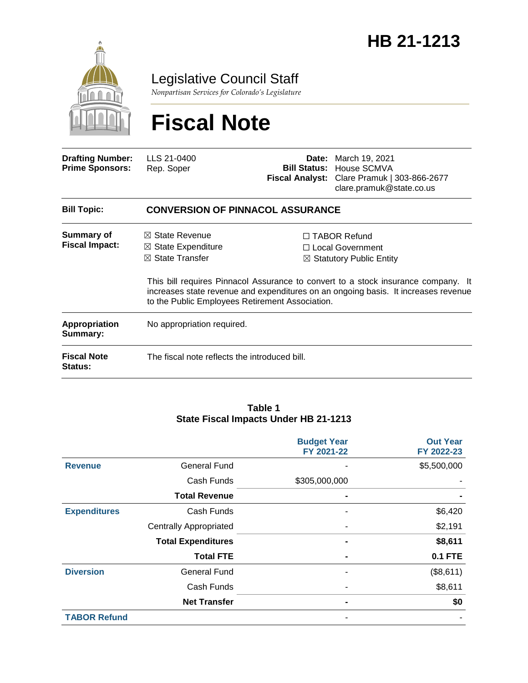

Legislative Council Staff

*Nonpartisan Services for Colorado's Legislature*

# **Fiscal Note**

| <b>Drafting Number:</b><br><b>Prime Sponsors:</b> | LLS 21-0400<br>Rep. Soper                                                                                                                   |  | <b>Date:</b> March 19, 2021<br><b>Bill Status: House SCMVA</b><br>Fiscal Analyst: Clare Pramuk   303-866-2677<br>clare.pramuk@state.co.us                                                                                                                        |  |  |
|---------------------------------------------------|---------------------------------------------------------------------------------------------------------------------------------------------|--|------------------------------------------------------------------------------------------------------------------------------------------------------------------------------------------------------------------------------------------------------------------|--|--|
| <b>Bill Topic:</b>                                | <b>CONVERSION OF PINNACOL ASSURANCE</b>                                                                                                     |  |                                                                                                                                                                                                                                                                  |  |  |
| Summary of<br><b>Fiscal Impact:</b>               | $\boxtimes$ State Revenue<br>$\boxtimes$ State Expenditure<br>$\boxtimes$ State Transfer<br>to the Public Employees Retirement Association. |  | $\Box$ TABOR Refund<br>$\Box$ Local Government<br>$\boxtimes$ Statutory Public Entity<br>This bill requires Pinnacol Assurance to convert to a stock insurance company. It<br>increases state revenue and expenditures on an ongoing basis. It increases revenue |  |  |
| Appropriation<br>Summary:                         | No appropriation required.                                                                                                                  |  |                                                                                                                                                                                                                                                                  |  |  |
|                                                   |                                                                                                                                             |  |                                                                                                                                                                                                                                                                  |  |  |

**Fiscal Note Status:** The fiscal note reflects the introduced bill.

#### **Table 1 State Fiscal Impacts Under HB 21-1213**

|                     |                               | <b>Budget Year</b><br>FY 2021-22 | <b>Out Year</b><br>FY 2022-23 |
|---------------------|-------------------------------|----------------------------------|-------------------------------|
| <b>Revenue</b>      | <b>General Fund</b>           |                                  | \$5,500,000                   |
|                     | Cash Funds                    | \$305,000,000                    |                               |
|                     | <b>Total Revenue</b>          | ۰                                |                               |
| <b>Expenditures</b> | Cash Funds                    |                                  | \$6,420                       |
|                     | <b>Centrally Appropriated</b> |                                  | \$2,191                       |
|                     | <b>Total Expenditures</b>     |                                  | \$8,611                       |
|                     | <b>Total FTE</b>              |                                  | <b>0.1 FTE</b>                |
| <b>Diversion</b>    | <b>General Fund</b>           |                                  | (\$8,611)                     |
|                     | Cash Funds                    |                                  | \$8,611                       |
|                     | <b>Net Transfer</b>           |                                  | \$0                           |
| <b>TABOR Refund</b> |                               |                                  |                               |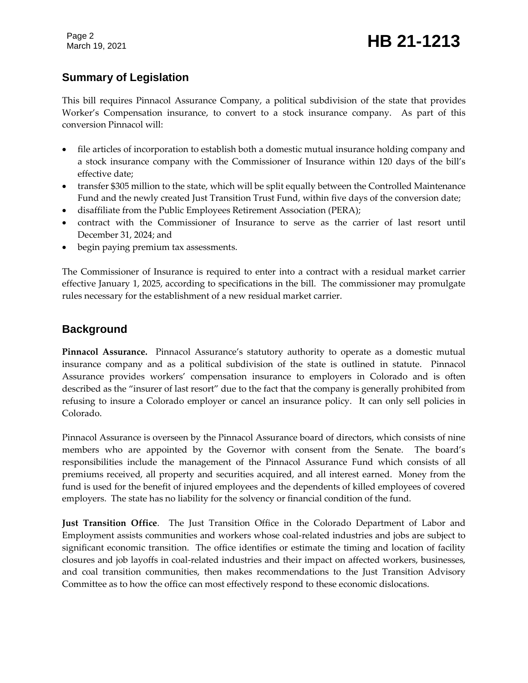Page 2

### March 19, 2021 **HB 21-1213**

#### **Summary of Legislation**

This bill requires Pinnacol Assurance Company, a political subdivision of the state that provides Worker's Compensation insurance, to convert to a stock insurance company. As part of this conversion Pinnacol will:

- file articles of incorporation to establish both a domestic mutual insurance holding company and a stock insurance company with the Commissioner of Insurance within 120 days of the bill's effective date;
- transfer \$305 million to the state, which will be split equally between the Controlled Maintenance Fund and the newly created Just Transition Trust Fund, within five days of the conversion date;
- disaffiliate from the Public Employees Retirement Association (PERA);
- contract with the Commissioner of Insurance to serve as the carrier of last resort until December 31, 2024; and
- begin paying premium tax assessments.

The Commissioner of Insurance is required to enter into a contract with a residual market carrier effective January 1, 2025, according to specifications in the bill. The commissioner may promulgate rules necessary for the establishment of a new residual market carrier.

#### **Background**

**Pinnacol Assurance.** Pinnacol Assurance's statutory authority to operate as a domestic mutual insurance company and as a political subdivision of the state is outlined in statute. Pinnacol Assurance provides workers' compensation insurance to employers in Colorado and is often described as the "insurer of last resort" due to the fact that the company is generally prohibited from refusing to insure a Colorado employer or cancel an insurance policy. It can only sell policies in Colorado.

Pinnacol Assurance is overseen by the Pinnacol Assurance board of directors, which consists of nine members who are appointed by the Governor with consent from the Senate. The board's responsibilities include the management of the Pinnacol Assurance Fund which consists of all premiums received, all property and securities acquired, and all interest earned. Money from the fund is used for the benefit of injured employees and the dependents of killed employees of covered employers. The state has no liability for the solvency or financial condition of the fund.

**Just Transition Office**. The Just Transition Office in the Colorado Department of Labor and Employment assists communities and workers whose coal-related industries and jobs are subject to significant economic transition. The office identifies or estimate the timing and location of facility closures and job layoffs in coal-related industries and their impact on affected workers, businesses, and coal transition communities, then makes recommendations to the Just Transition Advisory Committee as to how the office can most effectively respond to these economic dislocations.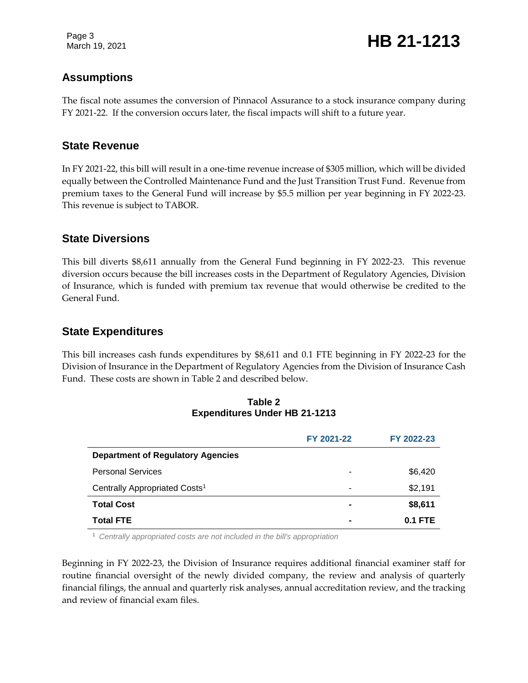Page 3

March 19, 2021 **HB 21-1213** 

#### **Assumptions**

The fiscal note assumes the conversion of Pinnacol Assurance to a stock insurance company during FY 2021-22. If the conversion occurs later, the fiscal impacts will shift to a future year.

#### **State Revenue**

In FY 2021-22, this bill will result in a one-time revenue increase of \$305 million, which will be divided equally between the Controlled Maintenance Fund and the Just Transition Trust Fund. Revenue from premium taxes to the General Fund will increase by \$5.5 million per year beginning in FY 2022-23. This revenue is subject to TABOR.

#### **State Diversions**

This bill diverts \$8,611 annually from the General Fund beginning in FY 2022-23. This revenue diversion occurs because the bill increases costs in the Department of Regulatory Agencies, Division of Insurance, which is funded with premium tax revenue that would otherwise be credited to the General Fund.

#### **State Expenditures**

This bill increases cash funds expenditures by \$8,611 and 0.1 FTE beginning in FY 2022-23 for the Division of Insurance in the Department of Regulatory Agencies from the Division of Insurance Cash Fund. These costs are shown in Table 2 and described below.

| <b>Expenditures Under HB 21-1213</b>      |            |            |  |  |
|-------------------------------------------|------------|------------|--|--|
|                                           | FY 2021-22 | FY 2022-23 |  |  |
| <b>Department of Regulatory Agencies</b>  |            |            |  |  |
| <b>Personal Services</b>                  | ۰          | \$6,420    |  |  |
| Centrally Appropriated Costs <sup>1</sup> | -          | \$2,191    |  |  |
| Total Cost                                |            | \$8,611    |  |  |

## **Table 2**

<sup>1</sup> *Centrally appropriated costs are not included in the bill's appropriation*

Beginning in FY 2022-23, the Division of Insurance requires additional financial examiner staff for routine financial oversight of the newly divided company, the review and analysis of quarterly financial filings, the annual and quarterly risk analyses, annual accreditation review, and the tracking and review of financial exam files.

**Total FTE - 0.1 FTE**